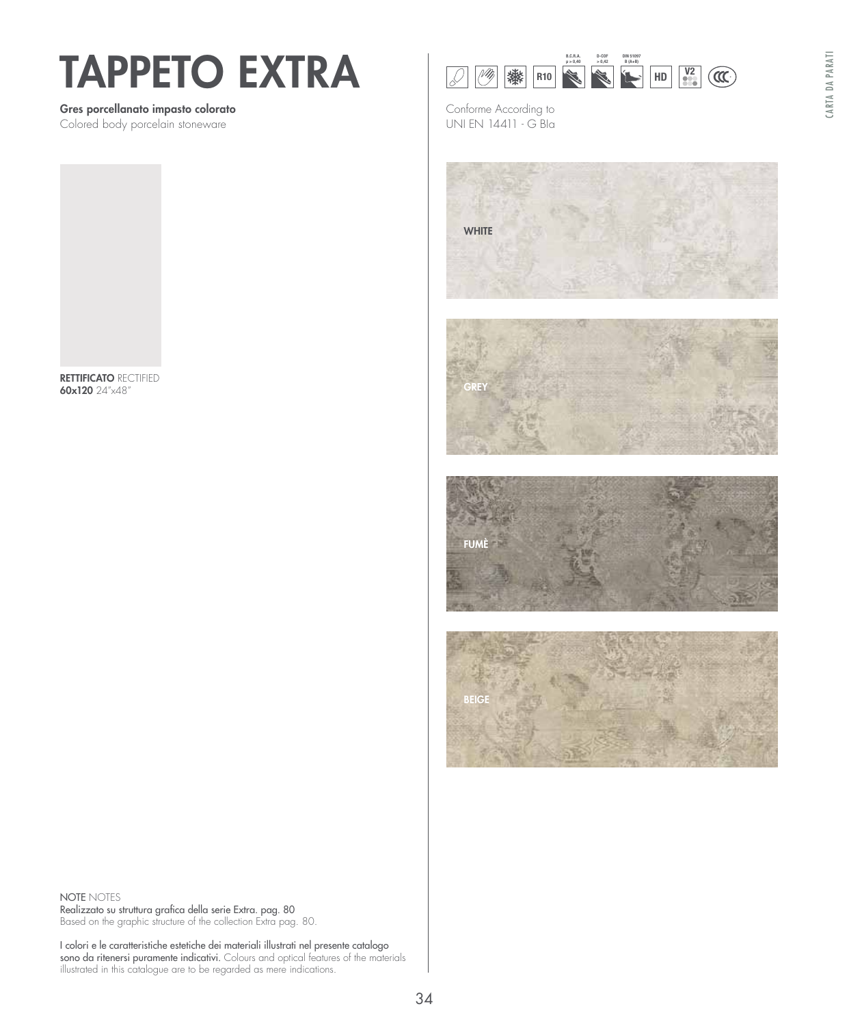# TAPPETO EXTRA

### Gres porcellanato impasto colorato

Colored body porcelain stoneware



Conforme According to UNI EN 14411 - G BIa









RETTIFICATO RECTIFIED 60x120 24"x48"

NOTE NOTES

Realizzato su struttura grafica della serie Extra. pag. 80 Based on the graphic structure of the collection Extra pag. 80.

I colori e le caratteristiche estetiche dei materiali illustrati nel presente catalogo sono da ritenersi puramente indicativi. Colours and optical features of the materials illustrated in this catalogue are to be regarded as mere indications.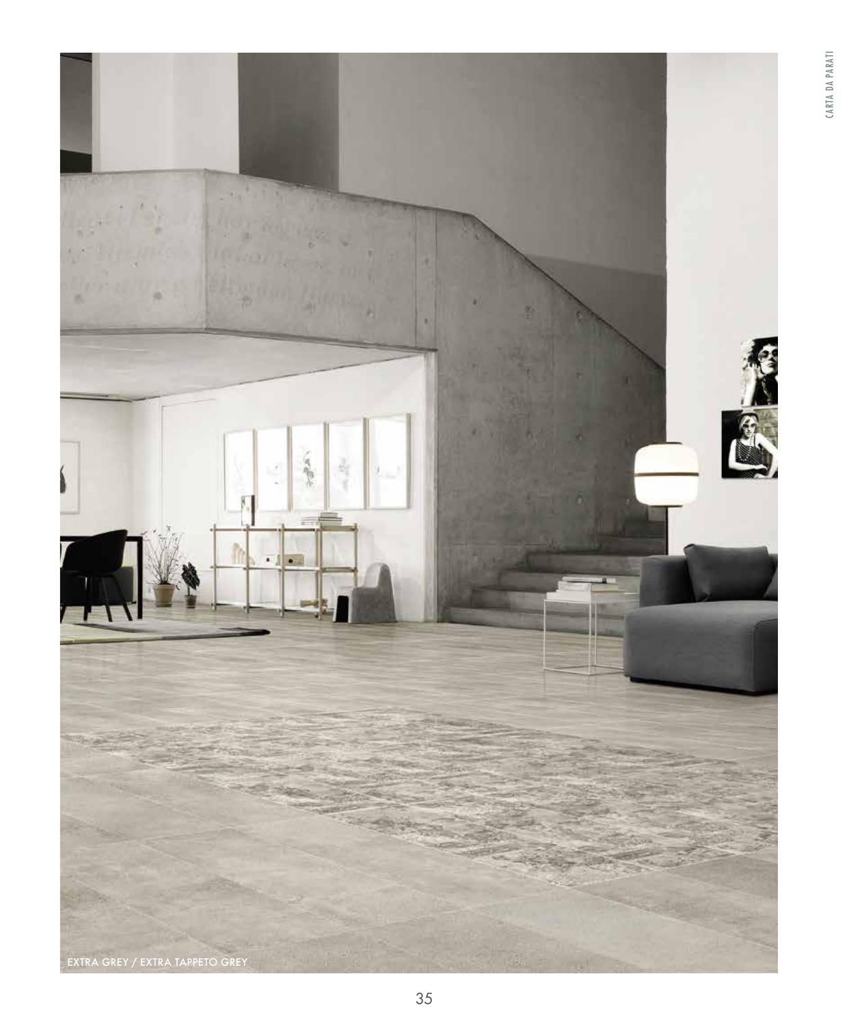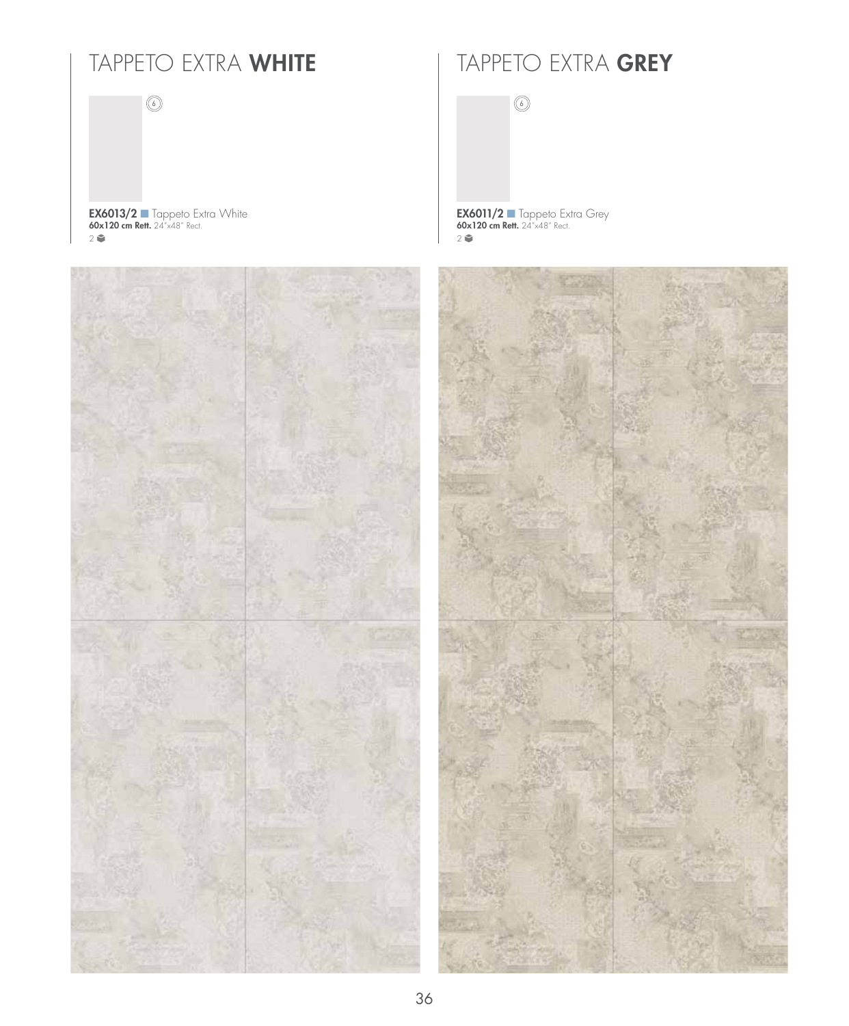## TAPPETO EXTRA WHITE TAPPETO EXTRA GREY

EX6013/2 ■ Tappeto Extra White **60x120 cm Rett.** 24"x48" Rect. 2

6



 $\circledcirc$ 

EX6011/2 ■ Tappeto Extra Grey **60x120 cm Rett.** 24"x48" Rect.  $2^{\circ}$ 

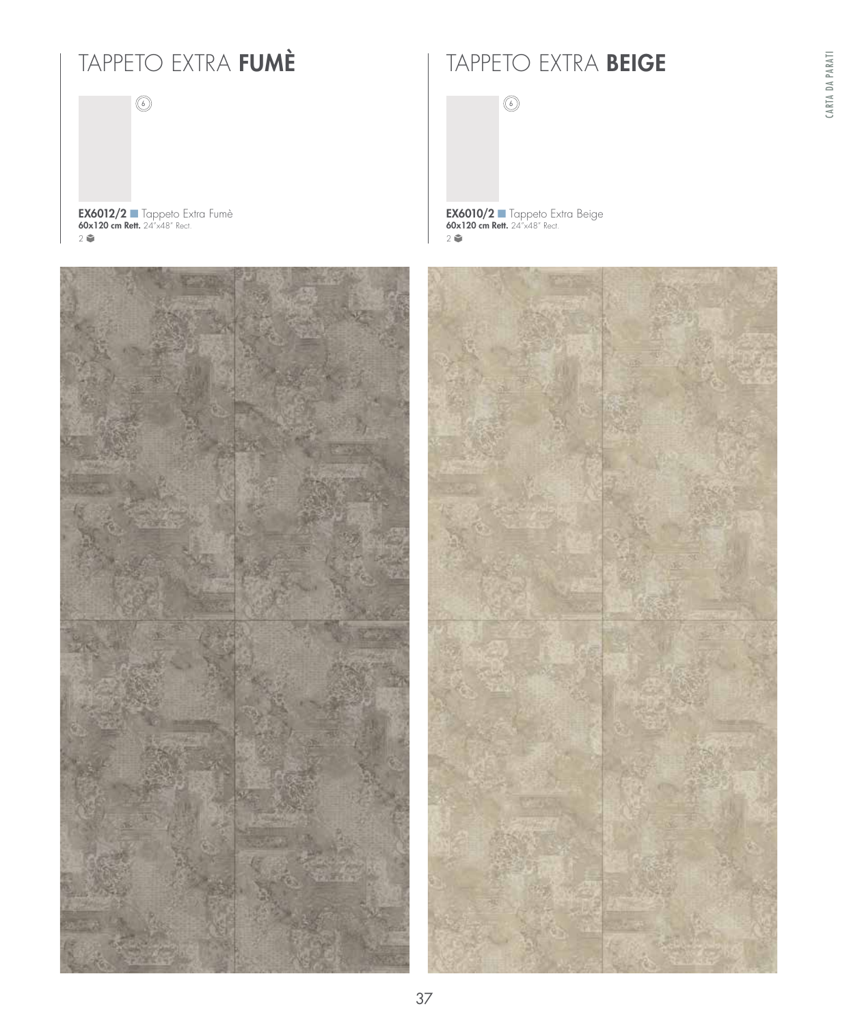### TAPPETO EXTRA FUMÈ | TAPPETO EXTRA BEIGE

EX6012/2 ■ Tappeto Extra Fumè **60x120 cm Rett.** 24"x48" Rect.  $2<sup>o</sup>$ 

 $\circledcirc$ 



 $\circledS$ 

EX6010/2 ■ Tappeto Extra Beige **60x120 cm Rett.** 24"x48" Rect.  $2$ 

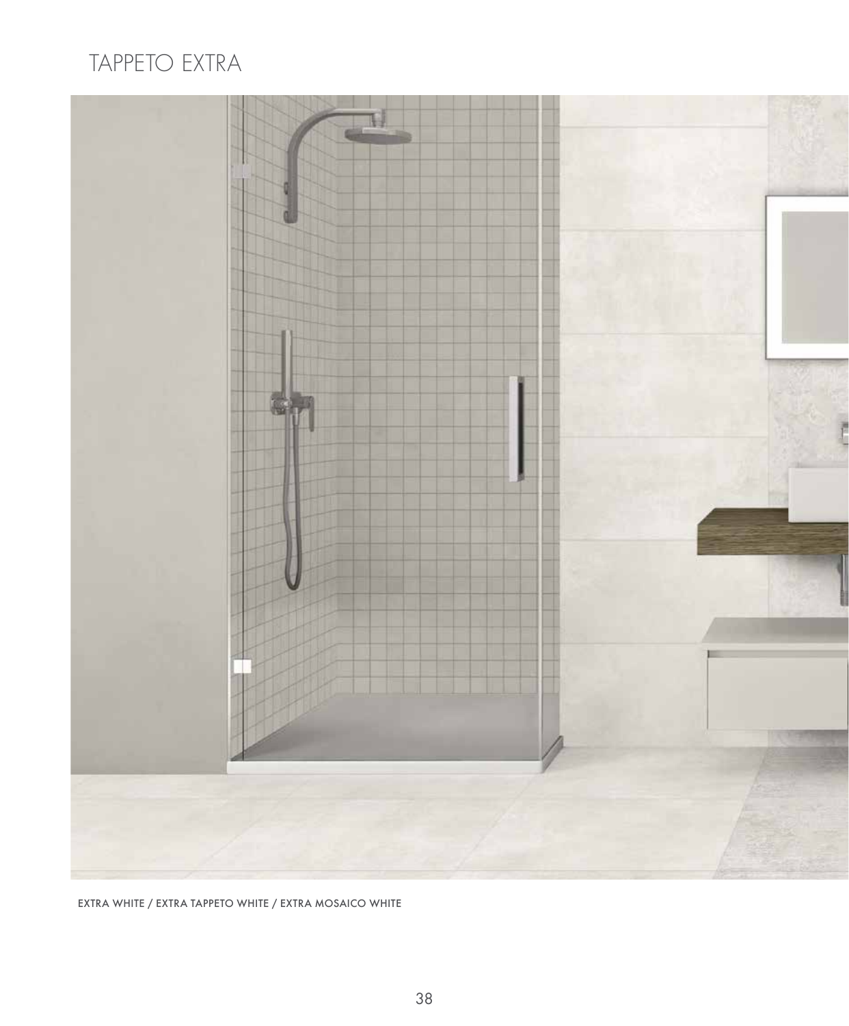### TAPPETO EXTRA



EXTRA WHITE / EXTRA TAPPETO WHITE / EXTRA MOSAICO WHITE